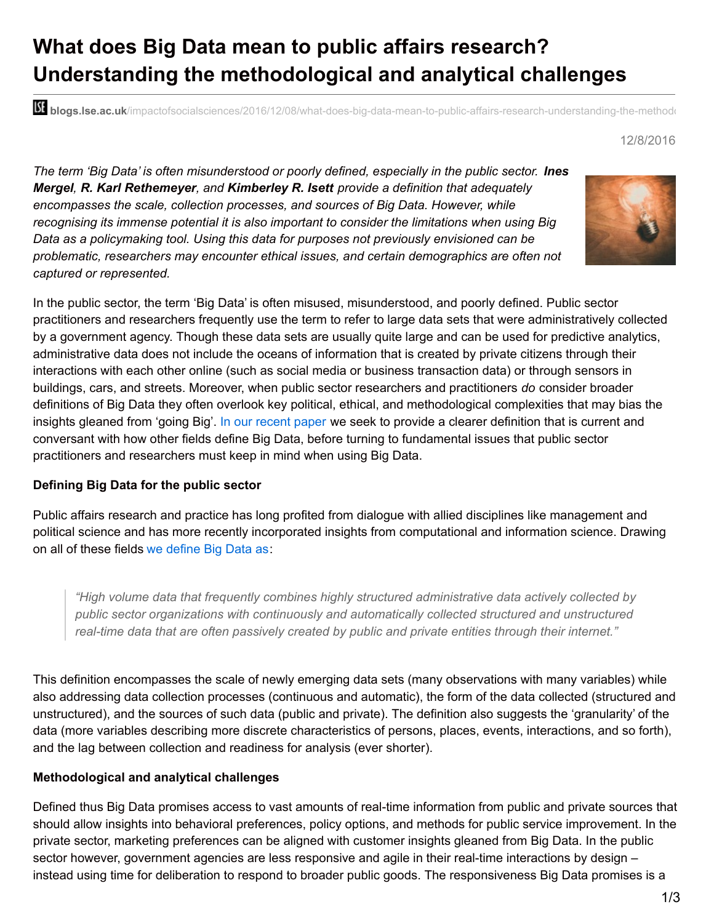# **What does Big Data mean to public affairs research? Understanding the methodological and analytical challenges**

**bli blogs.lse.ac.uk**/impactofsocialsciences/2016/12/08/what-does-big-data-mean-to-public-affairs-research-understanding-the-methodological-

#### 12/8/2016

*The term 'Big Data' is often misunderstood or poorly defined, especially in the public sector. Ines Mergel, R. Karl Rethemeyer, and Kimberley R. Isett provide a definition that adequately encompasses the scale, collection processes, and sources of Big Data. However, while recognising its immense potential it is also important to consider the limitations when using Big Data as a policymaking tool. Using this data for purposes not previously envisioned can be problematic, researchers may encounter ethical issues, and certain demographics are often not captured or represented.*



In the public sector, the term 'Big Data' is often misused, misunderstood, and poorly defined. Public sector practitioners and researchers frequently use the term to refer to large data sets that were administratively collected by a government agency. Though these data sets are usually quite large and can be used for predictive analytics, administrative data does not include the oceans of information that is created by private citizens through their interactions with each other online (such as social media or business transaction data) or through sensors in buildings, cars, and streets. Moreover, when public sector researchers and practitioners *do* consider broader definitions of Big Data they often overlook key political, ethical, and methodological complexities that may bias the insights gleaned from 'going Big'. In our [recent](http://onlinelibrary.wiley.com/doi/10.1111/puar.12625/full) paper we seek to provide a clearer definition that is current and conversant with how other fields define Big Data, before turning to fundamental issues that public sector practitioners and researchers must keep in mind when using Big Data.

#### **Defining Big Data for the public sector**

Public affairs research and practice has long profited from dialogue with allied disciplines like management and political science and has more recently incorporated insights from computational and information science. Drawing on all of these fields we [define](http://onlinelibrary.wiley.com/doi/10.1111/puar.12625/full) Big Data as:

*"High volume data that frequently combines highly structured administrative data actively collected by public sector organizations with continuously and automatically collected structured and unstructured real-time data that are often passively created by public and private entities through their internet."*

This definition encompasses the scale of newly emerging data sets (many observations with many variables) while also addressing data collection processes (continuous and automatic), the form of the data collected (structured and unstructured), and the sources of such data (public and private). The definition also suggests the 'granularity' of the data (more variables describing more discrete characteristics of persons, places, events, interactions, and so forth), and the lag between collection and readiness for analysis (ever shorter).

#### **Methodological and analytical challenges**

Defined thus Big Data promises access to vast amounts of real-time information from public and private sources that should allow insights into behavioral preferences, policy options, and methods for public service improvement. In the private sector, marketing preferences can be aligned with customer insights gleaned from Big Data. In the public sector however, government agencies are less responsive and agile in their real-time interactions by design – instead using time for deliberation to respond to broader public goods. The responsiveness Big Data promises is a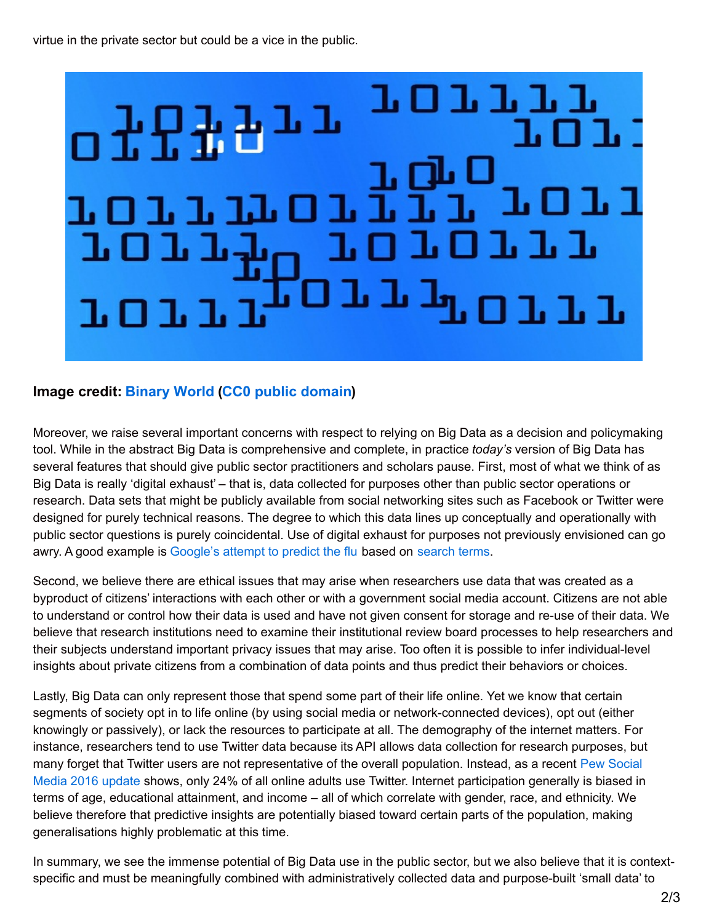virtue in the private sector but could be a vice in the public.



## **Image credit: [Binary](http://www.publicdomainpictures.net/view-image.php?image=51247&picture=binary-world) World (CC0 public [domain](https://creativecommons.org/publicdomain/zero/1.0/deed.en))**

Moreover, we raise several important concerns with respect to relying on Big Data as a decision and policymaking tool. While in the abstract Big Data is comprehensive and complete, in practice *today's* version of Big Data has several features that should give public sector practitioners and scholars pause. First, most of what we think of as Big Data is really 'digital exhaust' – that is, data collected for purposes other than public sector operations or research. Data sets that might be publicly available from social networking sites such as Facebook or Twitter were designed for purely technical reasons. The degree to which this data lines up conceptually and operationally with public sector questions is purely coincidental. Use of digital exhaust for purposes not previously envisioned can go awry. A good example is [Google's](https://www.google.org/flutrends/about/) attempt to predict the flu based on [search](https://www.wired.com/2015/10/can-learn-epic-failure-google-flu-trends/) terms.

Second, we believe there are ethical issues that may arise when researchers use data that was created as a byproduct of citizens' interactions with each other or with a government social media account. Citizens are not able to understand or control how their data is used and have not given consent for storage and re-use of their data. We believe that research institutions need to examine their institutional review board processes to help researchers and their subjects understand important privacy issues that may arise. Too often it is possible to infer individual-level insights about private citizens from a combination of data points and thus predict their behaviors or choices.

Lastly, Big Data can only represent those that spend some part of their life online. Yet we know that certain segments of society opt in to life online (by using social media or network-connected devices), opt out (either knowingly or passively), or lack the resources to participate at all. The demography of the internet matters. For instance, researchers tend to use Twitter data because its API allows data collection for research purposes, but many forget that Twitter users are not [representative](http://www.pewinternet.org/2016/11/11/social-media-update-2016/) of the overall population. Instead, as a recent Pew Social Media 2016 update shows, only 24% of all online adults use Twitter. Internet participation generally is biased in terms of age, educational attainment, and income – all of which correlate with gender, race, and ethnicity. We believe therefore that predictive insights are potentially biased toward certain parts of the population, making generalisations highly problematic at this time.

In summary, we see the immense potential of Big Data use in the public sector, but we also believe that it is contextspecific and must be meaningfully combined with administratively collected data and purpose-built 'small data' to